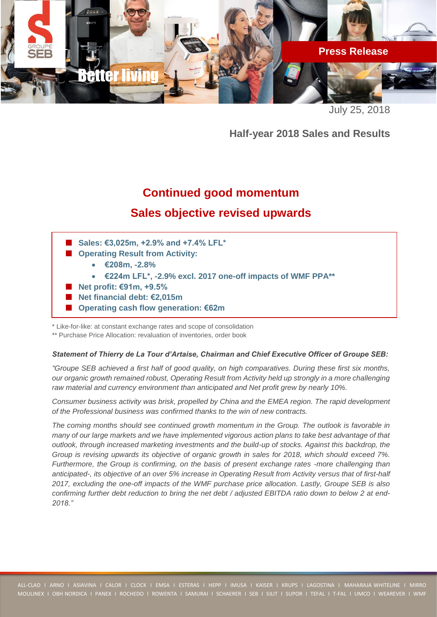

July 25, 2018

**Half-year 2018 Sales and Results**

# **Continued good momentum**

# **Sales objective revised upwards**

- Sales: €3,025m, +2.9% and +7.4% LFL<sup>\*</sup>
- Operating Result from Activity:
	- **€208m, -2.8%**
	- **€224m LFL\*, -2.9% excl. 2017 one-off impacts of WMF PPA\*\***
- **Net profit: €91m, +9.5%**
- **Net financial debt: €2,015m**
- **Operating cash flow generation: €62m**

\* Like-for-like: at constant exchange rates and scope of consolidation

\*\* Purchase Price Allocation: revaluation of inventories, order book

## *Statement of Thierry de La Tour d'Artaise, Chairman and Chief Executive Officer of Groupe SEB:*

*"Groupe SEB achieved a first half of good quality, on high comparatives. During these first six months, our organic growth remained robust, Operating Result from Activity held up strongly in a more challenging raw material and currency environment than anticipated and Net profit grew by nearly 10%.*

*Consumer business activity was brisk, propelled by China and the EMEA region. The rapid development of the Professional business was confirmed thanks to the win of new contracts.* 

*The coming months should see continued growth momentum in the Group. The outlook is favorable in many of our large markets and we have implemented vigorous action plans to take best advantage of that outlook, through increased marketing investments and the build-up of stocks. Against this backdrop, the Group is revising upwards its objective of organic growth in sales for 2018, which should exceed 7%. Furthermore, the Group is confirming, on the basis of present exchange rates -more challenging than anticipated-, its objective of an over 5% increase in Operating Result from Activity versus that of first-half 2017, excluding the one-off impacts of the WMF purchase price allocation. Lastly, Groupe SEB is also confirming further debt reduction to bring the net debt / adjusted EBITDA ratio down to below 2 at end-2018."*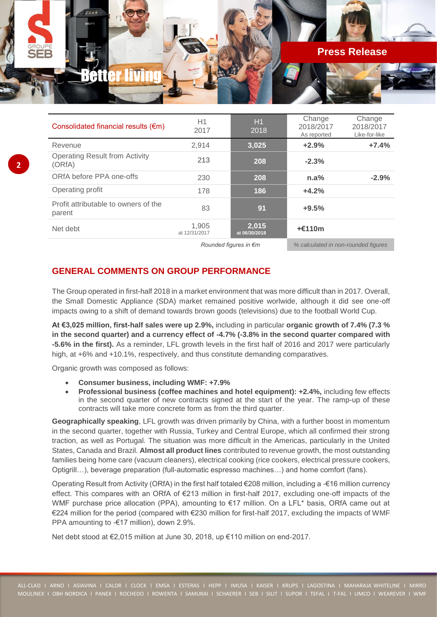

| Consolidated financial results $(\epsilon m)$   | H1<br>2017             | H1<br>2018             | Change<br>2018/2017<br>As reported | Change<br>2018/2017<br>Like-for-like |
|-------------------------------------------------|------------------------|------------------------|------------------------------------|--------------------------------------|
| Revenue                                         | 2,914                  | 3,025                  | $+2.9%$                            | $+7.4%$                              |
| <b>Operating Result from Activity</b><br>(ORfA) | 213                    | 208                    | $-2.3%$                            |                                      |
| ORfA before PPA one-offs                        | 230                    | 208                    | n.a%                               | $-2.9%$                              |
| Operating profit                                | 178                    | 186                    | $+4.2%$                            |                                      |
| Profit attributable to owners of the<br>parent  | 83                     | 91                     | $+9.5%$                            |                                      |
| Net debt                                        | 1.905<br>at 12/31/2017 | 2,015<br>at 06/30/2018 | $+£110m$                           |                                      |

*Rounded figures in €m % calculated in non-rounded figures*

# **GENERAL COMMENTS ON GROUP PERFORMANCE**

The Group operated in first-half 2018 in a market environment that was more difficult than in 2017. Overall, the Small Domestic Appliance (SDA) market remained positive worlwide, although it did see one-off impacts owing to a shift of demand towards brown goods (televisions) due to the football World Cup.

**At €3,025 million, first-half sales were up 2.9%,** including in particular **organic growth of 7.4% (7.3 % in the second quarter) and a currency effect of -4.7% (-3.8% in the second quarter compared with -5.6% in the first).** As a reminder, LFL growth levels in the first half of 2016 and 2017 were particularly high, at +6% and +10.1%, respectively, and thus constitute demanding comparatives.

Organic growth was composed as follows:

**2**

- **Consumer business, including WMF: +7.9%**
- **Professional business (coffee machines and hotel equipment): +2.4%,** including few effects in the second quarter of new contracts signed at the start of the year. The ramp-up of these contracts will take more concrete form as from the third quarter.

**Geographically speaking**, LFL growth was driven primarily by China, with a further boost in momentum in the second quarter, together with Russia, Turkey and Central Europe, which all confirmed their strong traction, as well as Portugal. The situation was more difficult in the Americas, particularly in the United States, Canada and Brazil. **Almost all product lines** contributed to revenue growth, the most outstanding families being home care (vacuum cleaners), electrical cooking (rice cookers, electrical pressure cookers, Optigrill…), beverage preparation (full-automatic espresso machines…) and home comfort (fans).

Operating Result from Activity (ORfA) in the first half totaled €208 million, including a -€16 million currency effect. This compares with an ORfA of €213 million in first-half 2017, excluding one-off impacts of the WMF purchase price allocation (PPA), amounting to €17 million. On a LFL\* basis, ORfA came out at €224 million for the period (compared with €230 million for first-half 2017, excluding the impacts of WMF PPA amounting to -€17 million), down 2.9%.

Net debt stood at €2,015 million at June 30, 2018, up €110 million on end-2017.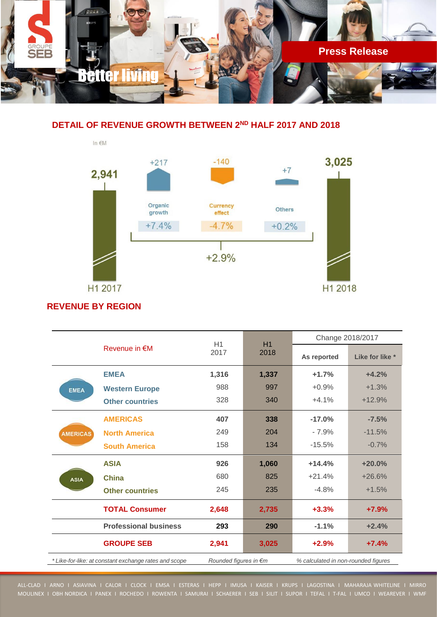

## **DETAIL OF REVENUE GROWTH BETWEEN 2ND HALF 2017 AND 2018**



# **REVENUE BY REGION**

|                                                       |                              | H1<br>H1                        |                                     | Change 2018/2017 |                 |
|-------------------------------------------------------|------------------------------|---------------------------------|-------------------------------------|------------------|-----------------|
|                                                       | Revenue in $\notin M$        | 2017                            | 2018                                | As reported      | Like for like * |
|                                                       | <b>EMEA</b>                  | 1,316                           | 1,337                               | $+1.7%$          | $+4.2%$         |
| <b>EMEA</b>                                           | <b>Western Europe</b>        | 988                             | 997                                 | $+0.9%$          | $+1.3%$         |
|                                                       | <b>Other countries</b>       | 328                             | 340                                 | $+4.1%$          | $+12.9%$        |
|                                                       | <b>AMERICAS</b>              | 407                             | 338                                 | $-17.0%$         | $-7.5%$         |
| <b>AMERICAS</b>                                       | <b>North America</b>         | 249                             | 204                                 | $-7.9%$          | $-11.5%$        |
|                                                       | <b>South America</b>         | 158                             | 134                                 | $-15.5%$         | $-0.7%$         |
|                                                       | <b>ASIA</b>                  | 926                             | 1,060                               | $+14.4%$         | $+20.0%$        |
| <b>ASIA</b>                                           | <b>China</b>                 | 680                             | 825                                 | $+21.4%$         | $+26.6%$        |
|                                                       | <b>Other countries</b>       | 245                             | 235                                 | $-4.8%$          | $+1.5%$         |
|                                                       | <b>TOTAL Consumer</b>        | 2,648                           | 2,735                               | $+3.3%$          | $+7.9%$         |
|                                                       | <b>Professional business</b> | 293                             | 290                                 | $-1.1%$          | $+2.4%$         |
|                                                       | <b>GROUPE SEB</b>            | 2,941                           | 3,025                               | $+2.9%$          | $+7.4%$         |
| * Like-for-like: at constant exchange rates and scope |                              | Rounded figures in $\epsilon$ m | % calculated in non-rounded figures |                  |                 |

ALL-CLAD I ARNO I ASIAVINA I CALOR I CLOCK I EMSA I ESTERAS I HEPP I IMUSA I KAISER I KRUPS I LAGOSTINA I MAHARAJA WHITELINE I MIRRO MOULINEX I OBH NORDICA I PANEX I ROCHEDO I ROWENTA I SAMURAI I SCHAERER I SEB I SILIT I SUPOR I TEFAL I T-FAL I UMCO I WEAREVER I WMF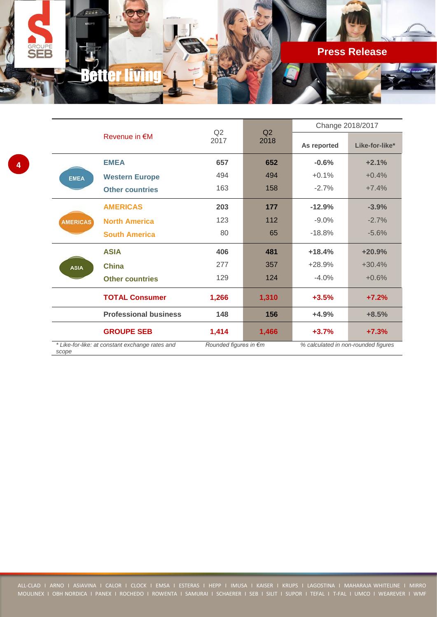

|                 |                                                 |                       | Q2<br>Q2<br>2017<br>2018 | Change 2018/2017 |                                     |
|-----------------|-------------------------------------------------|-----------------------|--------------------------|------------------|-------------------------------------|
|                 | Revenue in €M                                   |                       |                          | As reported      | Like-for-like*                      |
|                 | <b>EMEA</b>                                     | 657                   | 652                      | $-0.6%$          | $+2.1%$                             |
| <b>EMEA</b>     | <b>Western Europe</b>                           | 494                   | 494                      | $+0.1%$          | $+0.4%$                             |
|                 | <b>Other countries</b>                          | 163                   | 158                      | $-2.7%$          | $+7.4%$                             |
|                 | <b>AMERICAS</b>                                 | 203                   | 177                      | $-12.9%$         | $-3.9%$                             |
| <b>AMERICAS</b> | <b>North America</b>                            | 123                   | 112                      | $-9.0%$          | $-2.7%$                             |
|                 | <b>South America</b>                            | 80                    | 65                       | $-18.8%$         | $-5.6%$                             |
|                 | <b>ASIA</b>                                     | 406                   | 481                      | $+18.4%$         | $+20.9%$                            |
| <b>ASIA</b>     | <b>China</b>                                    | 277                   | 357                      | $+28.9%$         | $+30.4%$                            |
|                 | <b>Other countries</b>                          | 129                   | 124                      | $-4.0%$          | $+0.6%$                             |
|                 | <b>TOTAL Consumer</b>                           | 1,266                 | 1,310                    | $+3.5%$          | $+7.2%$                             |
|                 | <b>Professional business</b>                    | 148                   | 156                      | $+4.9%$          | $+8.5%$                             |
|                 | <b>GROUPE SEB</b>                               | 1,414                 | 1,466                    | $+3.7%$          | $+7.3%$                             |
| scope           | * Like-for-like: at constant exchange rates and | Rounded figures in €m |                          |                  | % calculated in non-rounded figures |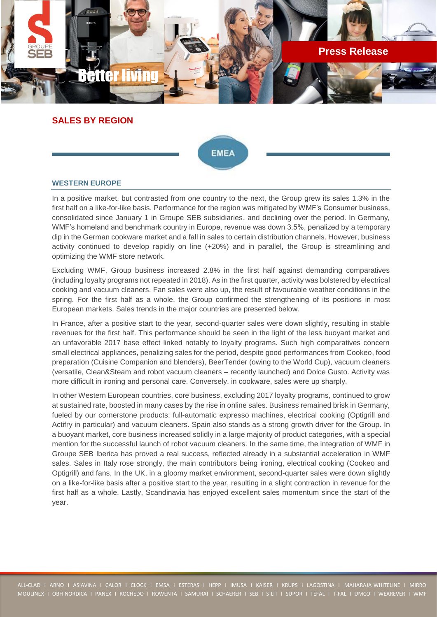

## **SALES BY REGION**



### **WESTERN EUROPE**

In a positive market, but contrasted from one country to the next, the Group grew its sales 1.3% in the first half on a like-for-like basis. Performance for the region was mitigated by WMF's Consumer business, consolidated since January 1 in Groupe SEB subsidiaries, and declining over the period. In Germany, WMF's homeland and benchmark country in Europe, revenue was down 3.5%, penalized by a temporary dip in the German cookware market and a fall in sales to certain distribution channels. However, business activity continued to develop rapidly on line (+20%) and in parallel, the Group is streamlining and optimizing the WMF store network.

Excluding WMF, Group business increased 2.8% in the first half against demanding comparatives (including loyalty programs not repeated in 2018). As in the first quarter, activity was bolstered by electrical cooking and vacuum cleaners. Fan sales were also up, the result of favourable weather conditions in the spring. For the first half as a whole, the Group confirmed the strengthening of its positions in most European markets. Sales trends in the major countries are presented below.

In France, after a positive start to the year, second-quarter sales were down slightly, resulting in stable revenues for the first half. This performance should be seen in the light of the less buoyant market and an unfavorable 2017 base effect linked notably to loyalty programs. Such high comparatives concern small electrical appliances, penalizing sales for the period, despite good performances from Cookeo, food preparation (Cuisine Companion and blenders), BeerTender (owing to the World Cup), vacuum cleaners (versatile, Clean&Steam and robot vacuum cleaners – recently launched) and Dolce Gusto. Activity was more difficult in ironing and personal care. Conversely, in cookware, sales were up sharply.

In other Western European countries, core business, excluding 2017 loyalty programs, continued to grow at sustained rate, boosted in many cases by the rise in online sales. Business remained brisk in Germany, fueled by our cornerstone products: full-automatic expresso machines, electrical cooking (Optigrill and Actifry in particular) and vacuum cleaners. Spain also stands as a strong growth driver for the Group. In a buoyant market, core business increased solidly in a large majority of product categories, with a special mention for the successful launch of robot vacuum cleaners. In the same time, the integration of WMF in Groupe SEB Iberica has proved a real success, reflected already in a substantial acceleration in WMF sales. Sales in Italy rose strongly, the main contributors being ironing, electrical cooking (Cookeo and Optigrill) and fans. In the UK, in a gloomy market environment, second-quarter sales were down slightly on a like-for-like basis after a positive start to the year, resulting in a slight contraction in revenue for the first half as a whole. Lastly, Scandinavia has enjoyed excellent sales momentum since the start of the year.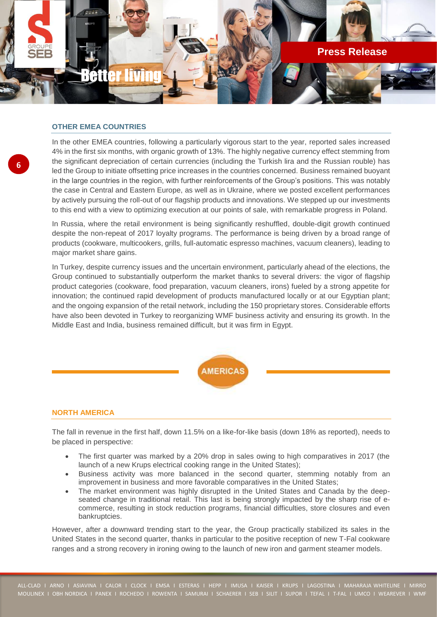

## **OTHER EMEA COUNTRIES**

**6**

In the other EMEA countries, following a particularly vigorous start to the year, reported sales increased 4% in the first six months, with organic growth of 13%. The highly negative currency effect stemming from the significant depreciation of certain currencies (including the Turkish lira and the Russian rouble) has led the Group to initiate offsetting price increases in the countries concerned. Business remained buoyant in the large countries in the region, with further reinforcements of the Group's positions. This was notably the case in Central and Eastern Europe, as well as in Ukraine, where we posted excellent performances by actively pursuing the roll-out of our flagship products and innovations. We stepped up our investments to this end with a view to optimizing execution at our points of sale, with remarkable progress in Poland.

In Russia, where the retail environment is being significantly reshuffled, double-digit growth continued despite the non-repeat of 2017 loyalty programs. The performance is being driven by a broad range of products (cookware, multicookers, grills, full-automatic espresso machines, vacuum cleaners), leading to major market share gains.

In Turkey, despite currency issues and the uncertain environment, particularly ahead of the elections, the Group continued to substantially outperform the market thanks to several drivers: the vigor of flagship product categories (cookware, food preparation, vacuum cleaners, irons) fueled by a strong appetite for innovation; the continued rapid development of products manufactured locally or at our Egyptian plant; and the ongoing expansion of the retail network, including the 150 proprietary stores. Considerable efforts have also been devoted in Turkey to reorganizing WMF business activity and ensuring its growth. In the Middle East and India, business remained difficult, but it was firm in Egypt.



### **NORTH AMERICA**

The fall in revenue in the first half, down 11.5% on a like-for-like basis (down 18% as reported), needs to be placed in perspective:

- The first quarter was marked by a 20% drop in sales owing to high comparatives in 2017 (the launch of a new Krups electrical cooking range in the United States);
- Business activity was more balanced in the second quarter, stemming notably from an improvement in business and more favorable comparatives in the United States;
- The market environment was highly disrupted in the United States and Canada by the deepseated change in traditional retail. This last is being strongly impacted by the sharp rise of ecommerce, resulting in stock reduction programs, financial difficulties, store closures and even bankruptcies.

However, after a downward trending start to the year, the Group practically stabilized its sales in the United States in the second quarter, thanks in particular to the positive reception of new T-Fal cookware ranges and a strong recovery in ironing owing to the launch of new iron and garment steamer models.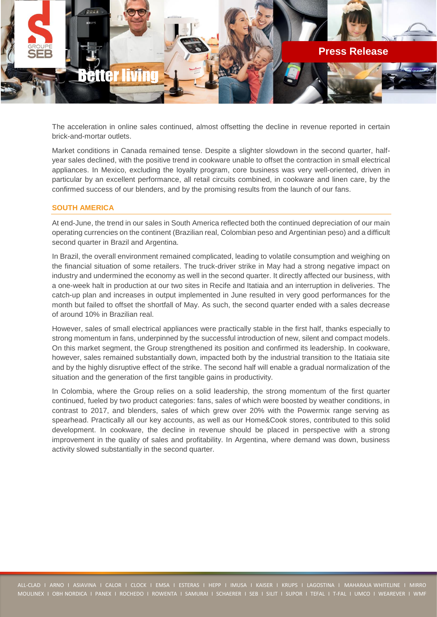

The acceleration in online sales continued, almost offsetting the decline in revenue reported in certain brick-and-mortar outlets.

Market conditions in Canada remained tense. Despite a slighter slowdown in the second quarter, halfyear sales declined, with the positive trend in cookware unable to offset the contraction in small electrical appliances. In Mexico, excluding the loyalty program, core business was very well-oriented, driven in particular by an excellent performance, all retail circuits combined, in cookware and linen care, by the confirmed success of our blenders, and by the promising results from the launch of our fans.

### **SOUTH AMERICA**

At end-June, the trend in our sales in South America reflected both the continued depreciation of our main operating currencies on the continent (Brazilian real, Colombian peso and Argentinian peso) and a difficult second quarter in Brazil and Argentina.

In Brazil, the overall environment remained complicated, leading to volatile consumption and weighing on the financial situation of some retailers. The truck-driver strike in May had a strong negative impact on industry and undermined the economy as well in the second quarter. It directly affected our business, with a one-week halt in production at our two sites in Recife and Itatiaia and an interruption in deliveries. The catch-up plan and increases in output implemented in June resulted in very good performances for the month but failed to offset the shortfall of May. As such, the second quarter ended with a sales decrease of around 10% in Brazilian real.

However, sales of small electrical appliances were practically stable in the first half, thanks especially to strong momentum in fans, underpinned by the successful introduction of new, silent and compact models. On this market segment, the Group strengthened its position and confirmed its leadership. In cookware, however, sales remained substantially down, impacted both by the industrial transition to the Itatiaia site and by the highly disruptive effect of the strike. The second half will enable a gradual normalization of the situation and the generation of the first tangible gains in productivity.

In Colombia, where the Group relies on a solid leadership, the strong momentum of the first quarter continued, fueled by two product categories: fans, sales of which were boosted by weather conditions, in contrast to 2017, and blenders, sales of which grew over 20% with the Powermix range serving as spearhead. Practically all our key accounts, as well as our Home&Cook stores, contributed to this solid development. In cookware, the decline in revenue should be placed in perspective with a strong improvement in the quality of sales and profitability. In Argentina, where demand was down, business activity slowed substantially in the second quarter.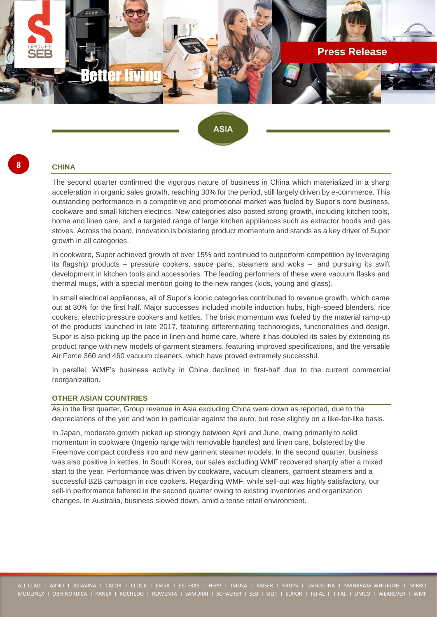![](_page_7_Picture_0.jpeg)

**ASIA** 

#### **CHINA**

**8**

The second quarter confirmed the vigorous nature of business in China which materialized in a sharp acceleration in organic sales growth, reaching 30% for the period, still largely driven by e-commerce. This outstanding performance in a competitive and promotional market was fueled by Supor's core business, cookware and small kitchen electrics. New categories also posted strong growth, including kitchen tools, home and linen care, and a targeted range of large kitchen appliances such as extractor hoods and gas stoves. Across the board, innovation is bolstering product momentum and stands as a key driver of Supor growth in all categories.

In cookware, Supor achieved growth of over 15% and continued to outperform competition by leveraging its flagship products – pressure cookers, sauce pans, steamers and woks – and pursuing its swift development in kitchen tools and accessories. The leading performers of these were vacuum flasks and thermal mugs, with a special mention going to the new ranges (kids, young and glass).

In small electrical appliances, all of Supor's iconic categories contributed to revenue growth, which came out at 30% for the first half. Major successes included mobile induction hubs, high-speed blenders, rice cookers, electric pressure cookers and kettles. The brisk momentum was fueled by the material ramp-up of the products launched in late 2017, featuring differentiating technologies, functionalities and design. Supor is also picking up the pace in linen and home care, where it has doubled its sales by extending its product range with new models of garment steamers, featuring improved specifications, and the versatile Air Force 360 and 460 vacuum cleaners, which have proved extremely successful.

In parallel, WMF's business activity in China declined in first-half due to the current commercial reorganization.

### **OTHER ASIAN COUNTRIES**

As in the first quarter, Group revenue in Asia excluding China were down as reported, due to the depreciations of the yen and won in particular against the euro, but rose slightly on a like-for-like basis.

In Japan, moderate growth picked up strongly between April and June, owing primarily to solid momentum in cookware (Ingenio range with removable handles) and linen care, bolstered by the Freemove compact cordless iron and new garment steamer models. In the second quarter, business was also positive in kettles. In South Korea, our sales excluding WMF recovered sharply after a mixed start to the year. Performance was driven by cookware, vacuum cleaners, garment steamers and a successful B2B campaign in rice cookers. Regarding WMF, while sell-out was highly satisfactory, our sell-in performance faltered in the second quarter owing to existing inventories and organization changes. In Australia, business slowed down, amid a tense retail environment.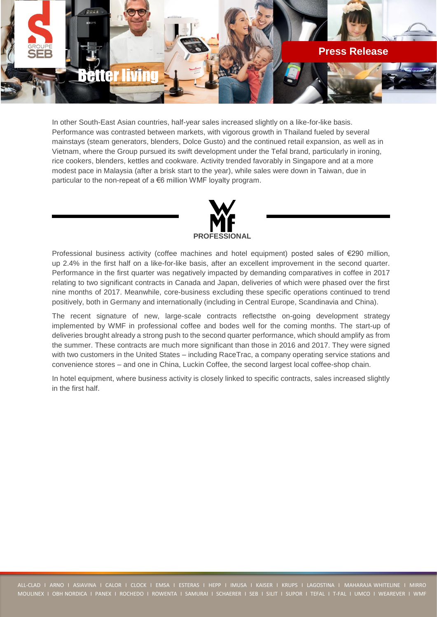![](_page_8_Picture_0.jpeg)

In other South-East Asian countries, half-year sales increased slightly on a like-for-like basis. Performance was contrasted between markets, with vigorous growth in Thailand fueled by several mainstays (steam generators, blenders, Dolce Gusto) and the continued retail expansion, as well as in Vietnam, where the Group pursued its swift development under the Tefal brand, particularly in ironing, rice cookers, blenders, kettles and cookware. Activity trended favorably in Singapore and at a more modest pace in Malaysia (after a brisk start to the year), while sales were down in Taiwan, due in particular to the non-repeat of a €6 million WMF loyalty program.

![](_page_8_Picture_2.jpeg)

Professional business activity (coffee machines and hotel equipment) posted sales of €290 million, up 2.4% in the first half on a like-for-like basis, after an excellent improvement in the second quarter. Performance in the first quarter was negatively impacted by demanding comparatives in coffee in 2017 relating to two significant contracts in Canada and Japan, deliveries of which were phased over the first nine months of 2017. Meanwhile, core-business excluding these specific operations continued to trend positively, both in Germany and internationally (including in Central Europe, Scandinavia and China).

The recent signature of new, large-scale contracts reflectsthe on-going development strategy implemented by WMF in professional coffee and bodes well for the coming months. The start-up of deliveries brought already a strong push to the second quarter performance, which should amplify as from the summer. These contracts are much more significant than those in 2016 and 2017. They were signed with two customers in the United States – including RaceTrac, a company operating service stations and convenience stores – and one in China, Luckin Coffee, the second largest local coffee-shop chain.

In hotel equipment, where business activity is closely linked to specific contracts, sales increased slightly in the first half.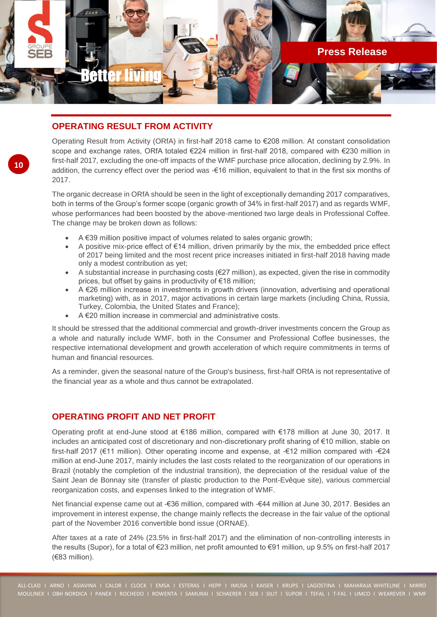![](_page_9_Picture_0.jpeg)

# **OPERATING RESULT FROM ACTIVITY**

Operating Result from Activity (ORfA) in first-half 2018 came to €208 million. At constant consolidation scope and exchange rates, ORfA totaled €224 million in first-half 2018, compared with €230 million in first-half 2017, excluding the one-off impacts of the WMF purchase price allocation, declining by 2.9%. In addition, the currency effect over the period was -€16 million, equivalent to that in the first six months of 2017.

The organic decrease in ORfA should be seen in the light of exceptionally demanding 2017 comparatives, both in terms of the Group's former scope (organic growth of 34% in first-half 2017) and as regards WMF, whose performances had been boosted by the above-mentioned two large deals in Professional Coffee. The change may be broken down as follows:

- A  $\epsilon$ 39 million positive impact of volumes related to sales organic growth;
- A positive mix-price effect of €14 million, driven primarily by the mix, the embedded price effect of 2017 being limited and the most recent price increases initiated in first-half 2018 having made only a modest contribution as yet;
- A substantial increase in purchasing costs ( $E27$  million), as expected, given the rise in commodity prices, but offset by gains in productivity of €18 million;
- A €26 million increase in investments in growth drivers (innovation, advertising and operational marketing) with, as in 2017, major activations in certain large markets (including China, Russia, Turkey, Colombia, the United States and France);
- A €20 million increase in commercial and administrative costs.

It should be stressed that the additional commercial and growth-driver investments concern the Group as a whole and naturally include WMF, both in the Consumer and Professional Coffee businesses, the respective international development and growth acceleration of which require commitments in terms of human and financial resources.

As a reminder, given the seasonal nature of the Group's business, first-half ORfA is not representative of the financial year as a whole and thus cannot be extrapolated.

# **OPERATING PROFIT AND NET PROFIT**

Operating profit at end-June stood at €186 million, compared with €178 million at June 30, 2017. It includes an anticipated cost of discretionary and non-discretionary profit sharing of €10 million, stable on first-half 2017 (€11 million). Other operating income and expense, at -€12 million compared with -€24 million at end-June 2017, mainly includes the last costs related to the reorganization of our operations in Brazil (notably the completion of the industrial transition), the depreciation of the residual value of the Saint Jean de Bonnay site (transfer of plastic production to the Pont-Evêque site), various commercial reorganization costs, and expenses linked to the integration of WMF.

Net financial expense came out at -€36 million, compared with -€44 million at June 30, 2017. Besides an improvement in interest expense, the change mainly reflects the decrease in the fair value of the optional part of the November 2016 convertible bond issue (ORNAE).

After taxes at a rate of 24% (23.5% in first-half 2017) and the elimination of non-controlling interests in the results (Supor), for a total of €23 million, net profit amounted to €91 million, up 9.5% on first-half 2017 (€83 million).

**10**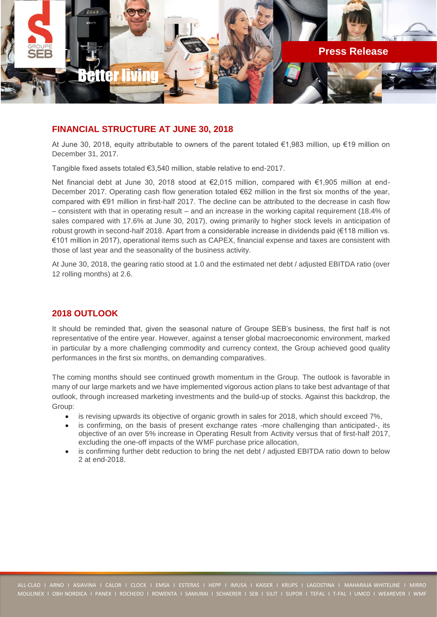![](_page_10_Picture_0.jpeg)

# **FINANCIAL STRUCTURE AT JUNE 30, 2018**

At June 30, 2018, equity attributable to owners of the parent totaled €1,983 million, up €19 million on December 31, 2017.

Tangible fixed assets totaled €3,540 million, stable relative to end-2017.

Net financial debt at June 30, 2018 stood at €2,015 million, compared with €1,905 million at end-December 2017. Operating cash flow generation totaled €62 million in the first six months of the year, compared with €91 million in first-half 2017. The decline can be attributed to the decrease in cash flow – consistent with that in operating result – and an increase in the working capital requirement (18.4% of sales compared with 17.6% at June 30, 2017), owing primarily to higher stock levels in anticipation of robust growth in second-half 2018. Apart from a considerable increase in dividends paid (€118 million vs. €101 million in 2017), operational items such as CAPEX, financial expense and taxes are consistent with those of last year and the seasonality of the business activity.

At June 30, 2018, the gearing ratio stood at 1.0 and the estimated net debt / adjusted EBITDA ratio (over 12 rolling months) at 2.6.

# **2018 OUTLOOK**

It should be reminded that, given the seasonal nature of Groupe SEB's business, the first half is not representative of the entire year. However, against a tenser global macroeconomic environment, marked in particular by a more challenging commodity and currency context, the Group achieved good quality performances in the first six months, on demanding comparatives.

The coming months should see continued growth momentum in the Group. The outlook is favorable in many of our large markets and we have implemented vigorous action plans to take best advantage of that outlook, through increased marketing investments and the build-up of stocks. Against this backdrop, the Group:

- is revising upwards its objective of organic growth in sales for 2018, which should exceed 7%,
- is confirming, on the basis of present exchange rates -more challenging than anticipated-, its objective of an over 5% increase in Operating Result from Activity versus that of first-half 2017, excluding the one-off impacts of the WMF purchase price allocation,
- is confirming further debt reduction to bring the net debt / adjusted EBITDA ratio down to below 2 at end-2018.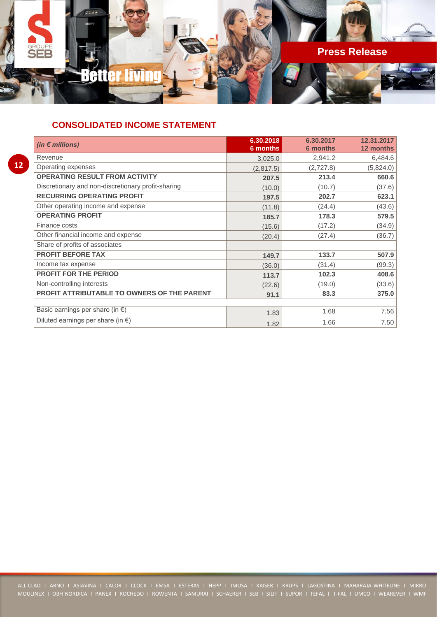![](_page_11_Picture_0.jpeg)

# **CONSOLIDATED INCOME STATEMENT**

| $\mathcal{L}(\mathcal{L})$ |  |
|----------------------------|--|

| (in $\epsilon$ millions)                           | 6.30.2018 | 6.30.2017       | 12.31.2017 |
|----------------------------------------------------|-----------|-----------------|------------|
|                                                    | 6 months  | <b>6 months</b> | 12 months  |
| Revenue                                            | 3,025.0   | 2,941.2         | 6,484.6    |
| Operating expenses                                 | (2,817.5) | (2,727.8)       | (5,824.0)  |
| <b>OPERATING RESULT FROM ACTIVITY</b>              | 207.5     | 213.4           | 660.6      |
| Discretionary and non-discretionary profit-sharing | (10.0)    | (10.7)          | (37.6)     |
| <b>RECURRING OPERATING PROFIT</b>                  | 197.5     | 202.7           | 623.1      |
| Other operating income and expense                 | (11.8)    | (24.4)          | (43.6)     |
| <b>OPERATING PROFIT</b>                            | 185.7     | 178.3           | 579.5      |
| Finance costs                                      | (15.6)    | (17.2)          | (34.9)     |
| Other financial income and expense                 | (20.4)    | (27.4)          | (36.7)     |
| Share of profits of associates                     |           |                 |            |
| <b>PROFIT BEFORE TAX</b>                           | 149.7     | 133.7           | 507.9      |
| Income tax expense                                 | (36.0)    | (31.4)          | (99.3)     |
| <b>PROFIT FOR THE PERIOD</b>                       | 113.7     | 102.3           | 408.6      |
| Non-controlling interests                          | (22.6)    | (19.0)          | (33.6)     |
| PROFIT ATTRIBUTABLE TO OWNERS OF THE PARENT        | 91.1      | 83.3            | 375.0      |
|                                                    |           |                 |            |
| Basic earnings per share (in $\epsilon$ )          | 1.83      | 1.68            | 7.56       |
| Diluted earnings per share (in $\epsilon$ )        | 1.82      | 1.66            | 7.50       |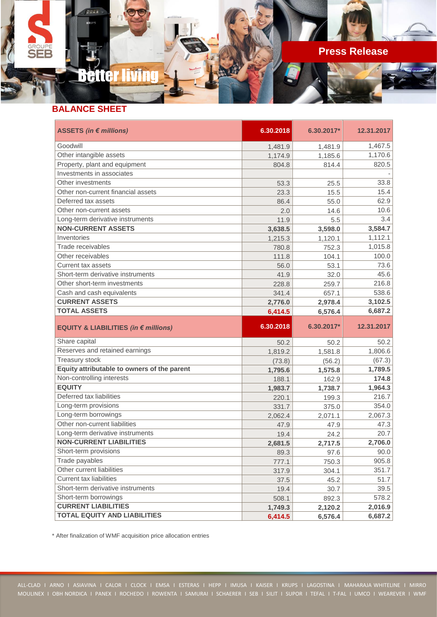![](_page_12_Picture_0.jpeg)

# Better liv

## **BALANCE SHEET**

**SEB** 

| ASSETS (in € millions)                      | 6.30.2018 | 6.30.2017* | 12.31.2017 |
|---------------------------------------------|-----------|------------|------------|
| Goodwill                                    | 1,481.9   | 1,481.9    | 1,467.5    |
| Other intangible assets                     | 1,174.9   | 1,185.6    | 1,170.6    |
| Property, plant and equipment               | 804.8     | 814.4      | 820.5      |
| Investments in associates                   |           |            |            |
| Other investments                           | 53.3      | 25.5       | 33.8       |
| Other non-current financial assets          | 23.3      | 15.5       | 15.4       |
| Deferred tax assets                         | 86.4      | 55.0       | 62.9       |
| Other non-current assets                    | 2.0       | 14.6       | 10.6       |
| Long-term derivative instruments            | 11.9      | 5.5        | 3.4        |
| <b>NON-CURRENT ASSETS</b>                   | 3,638.5   | 3,598.0    | 3,584.7    |
| Inventories                                 | 1,215.3   | 1,120.1    | 1,112.1    |
| Trade receivables                           | 780.8     | 752.3      | 1,015.8    |
| Other receivables                           | 111.8     | 104.1      | 100.0      |
| Current tax assets                          | 56.0      | 53.1       | 73.6       |
| Short-term derivative instruments           | 41.9      | 32.0       | 45.6       |
| Other short-term investments                | 228.8     | 259.7      | 216.8      |
| Cash and cash equivalents                   | 341.4     | 657.1      | 538.6      |
| <b>CURRENT ASSETS</b>                       | 2,776.0   | 2,978.4    | 3,102.5    |
| <b>TOTAL ASSETS</b>                         | 6,414.5   | 6,576.4    | 6,687.2    |
| EQUITY & LIABILITIES (in € millions)        | 6.30.2018 | 6.30.2017* | 12.31.2017 |
| Share capital                               | 50.2      | 50.2       | 50.2       |
| Reserves and retained earnings              |           |            |            |
|                                             | 1,819.2   | 1,581.8    | 1,806.6    |
| <b>Treasury stock</b>                       | (73.8)    | (56.2)     | (67.3)     |
| Equity attributable to owners of the parent | 1,795.6   | 1,575.8    | 1,789.5    |
| Non-controlling interests                   | 188.1     | 162.9      | 174.8      |
| <b>EQUITY</b>                               | 1,983.7   | 1,738.7    | 1,964.3    |
| Deferred tax liabilities                    | 220.1     | 199.3      | 216.7      |
| Long-term provisions                        | 331.7     | 375.0      | 354.0      |
| Long-term borrowings                        | 2,062.4   | 2,071.1    | 2,067.3    |
| Other non-current liabilities               | 47.9      | 47.9       | 47.3       |
| Long-term derivative instruments            | 19.4      | 24.2       | 20.7       |
| <b>NON-CURRENT LIABILITIES</b>              | 2,681.5   | 2,717.5    | 2,706.0    |
| Short-term provisions                       | 89.3      | 97.6       | 90.0       |
| Trade payables                              | 777.1     | 750.3      | 905.8      |
| Other current liabilities                   | 317.9     | 304.1      | 351.7      |
| <b>Current tax liabilities</b>              | 37.5      | 45.2       | 51.7       |
| Short-term derivative instruments           | 19.4      | 30.7       | 39.5       |
| Short-term borrowings                       | 508.1     | 892.3      | 578.2      |
| <b>CURRENT LIABILITIES</b>                  | 1,749.3   | 2,120.2    | 2,016.9    |

\* After finalization of WMF acquisition price allocation entries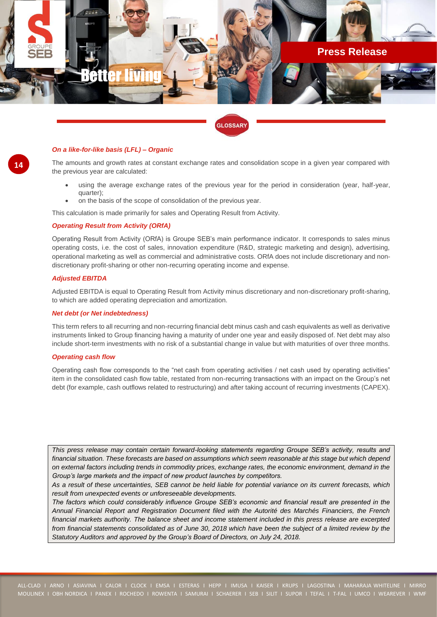![](_page_13_Picture_0.jpeg)

#### **GLOSSARY**

#### *On a like-for-like basis (LFL) – Organic*

The amounts and growth rates at constant exchange rates and consolidation scope in a given year compared with the previous year are calculated:

- using the average exchange rates of the previous year for the period in consideration (year, half-year, quarter);
- on the basis of the scope of consolidation of the previous year.

This calculation is made primarily for sales and Operating Result from Activity.

#### *Operating Result from Activity (ORfA)*

Operating Result from Activity (ORfA) is Groupe SEB's main performance indicator. It corresponds to sales minus operating costs, i.e. the cost of sales, innovation expenditure (R&D, strategic marketing and design), advertising, operational marketing as well as commercial and administrative costs. ORfA does not include discretionary and nondiscretionary profit-sharing or other non-recurring operating income and expense.

#### *Adjusted EBITDA*

Adjusted EBITDA is equal to Operating Result from Activity minus discretionary and non-discretionary profit-sharing, to which are added operating depreciation and amortization.

#### *Net debt (or Net indebtedness)*

This term refers to all recurring and non-recurring financial debt minus cash and cash equivalents as well as derivative instruments linked to Group financing having a maturity of under one year and easily disposed of. Net debt may also include short-term investments with no risk of a substantial change in value but with maturities of over three months.

#### *Operating cash flow*

Operating cash flow corresponds to the "net cash from operating activities / net cash used by operating activities" item in the consolidated cash flow table, restated from non-recurring transactions with an impact on the Group's net debt (for example, cash outflows related to restructuring) and after taking account of recurring investments (CAPEX).

*This press release may contain certain forward-looking statements regarding Groupe SEB's activity, results and financial situation. These forecasts are based on assumptions which seem reasonable at this stage but which depend on external factors including trends in commodity prices, exchange rates, the economic environment, demand in the Group's large markets and the impact of new product launches by competitors.*

*As a result of these uncertainties, SEB cannot be held liable for potential variance on its current forecasts, which result from unexpected events or unforeseeable developments.*

*The factors which could considerably influence Groupe SEB's economic and financial result are presented in the Annual Financial Report and Registration Document filed with the Autorité des Marchés Financiers, the French financial markets authority. The balance sheet and income statement included in this press release are excerpted from financial statements consolidated as of June 30, 2018 which have been the subject of a limited review by the Statutory Auditors and approved by the Group's Board of Directors, on July 24, 2018.*